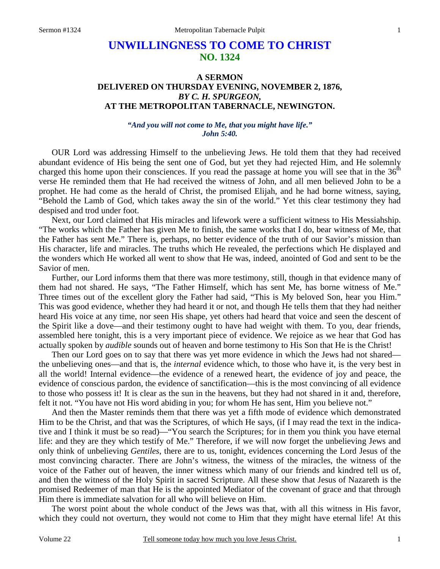# **UNWILLINGNESS TO COME TO CHRIST NO. 1324**

# **A SERMON DELIVERED ON THURSDAY EVENING, NOVEMBER 2, 1876,**  *BY C. H. SPURGEON,*  **AT THE METROPOLITAN TABERNACLE, NEWINGTON.**

*"And you will not come to Me, that you might have life." John 5:40.* 

OUR Lord was addressing Himself to the unbelieving Jews. He told them that they had received abundant evidence of His being the sent one of God, but yet they had rejected Him, and He solemnly charged this home upon their consciences. If you read the passage at home you will see that in the  $36<sup>th</sup>$ verse He reminded them that He had received the witness of John, and all men believed John to be a prophet. He had come as the herald of Christ, the promised Elijah, and he had borne witness, saying, "Behold the Lamb of God, which takes away the sin of the world." Yet this clear testimony they had despised and trod under foot.

 Next, our Lord claimed that His miracles and lifework were a sufficient witness to His Messiahship. "The works which the Father has given Me to finish, the same works that I do, bear witness of Me, that the Father has sent Me." There is, perhaps, no better evidence of the truth of our Savior's mission than His character, life and miracles. The truths which He revealed, the perfections which He displayed and the wonders which He worked all went to show that He was, indeed, anointed of God and sent to be the Savior of men.

 Further, our Lord informs them that there was more testimony, still, though in that evidence many of them had not shared. He says, "The Father Himself, which has sent Me, has borne witness of Me." Three times out of the excellent glory the Father had said, "This is My beloved Son, hear you Him." This was good evidence, whether they had heard it or not, and though He tells them that they had neither heard His voice at any time, nor seen His shape, yet others had heard that voice and seen the descent of the Spirit like a dove—and their testimony ought to have had weight with them. To you, dear friends, assembled here tonight, this is a very important piece of evidence. We rejoice as we hear that God has actually spoken by *audible* sounds out of heaven and borne testimony to His Son that He is the Christ!

 Then our Lord goes on to say that there was yet more evidence in which the Jews had not shared the unbelieving ones—and that is, the *internal* evidence which, to those who have it, is the very best in all the world! Internal evidence—the evidence of a renewed heart, the evidence of joy and peace, the evidence of conscious pardon, the evidence of sanctification—this is the most convincing of all evidence to those who possess it! It is clear as the sun in the heavens, but they had not shared in it and, therefore, felt it not. "You have not His word abiding in you; for whom He has sent, Him you believe not."

 And then the Master reminds them that there was yet a fifth mode of evidence which demonstrated Him to be the Christ, and that was the Scriptures, of which He says, (if I may read the text in the indicative and I think it must be so read)—"You search the Scriptures; for in them you think you have eternal life: and they are they which testify of Me." Therefore, if we will now forget the unbelieving Jews and only think of unbelieving *Gentiles*, there are to us, tonight, evidences concerning the Lord Jesus of the most convincing character. There are John's witness, the witness of the miracles, the witness of the voice of the Father out of heaven, the inner witness which many of our friends and kindred tell us of, and then the witness of the Holy Spirit in sacred Scripture. All these show that Jesus of Nazareth is the promised Redeemer of man that He is the appointed Mediator of the covenant of grace and that through Him there is immediate salvation for all who will believe on Him.

 The worst point about the whole conduct of the Jews was that, with all this witness in His favor, which they could not overturn, they would not come to Him that they might have eternal life! At this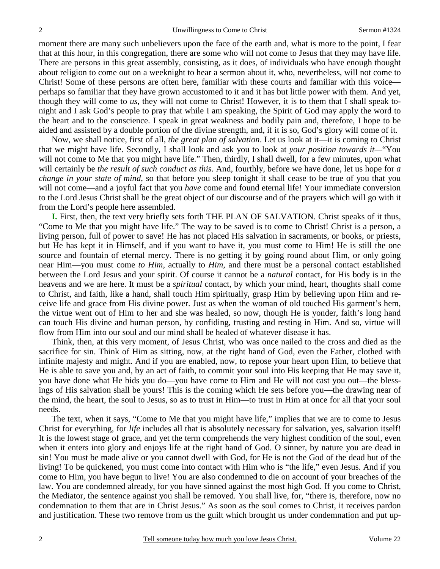moment there are many such unbelievers upon the face of the earth and, what is more to the point, I fear that at this hour, in this congregation, there are some who will not come to Jesus that they may have life. There are persons in this great assembly, consisting, as it does, of individuals who have enough thought about religion to come out on a weeknight to hear a sermon about it, who, nevertheless, will not come to Christ! Some of these persons are often here, familiar with these courts and familiar with this voice perhaps so familiar that they have grown accustomed to it and it has but little power with them. And yet, though they will come to *us*, they will not come to Christ! However, it is to them that I shall speak tonight and I ask God's people to pray that while I am speaking, the Spirit of God may apply the word to the heart and to the conscience. I speak in great weakness and bodily pain and, therefore, I hope to be aided and assisted by a double portion of the divine strength, and, if it is so, God's glory will come of it.

 Now, we shall notice, first of all, *the great plan of salvation*. Let us look at it—it is coming to Christ that we might have life. Secondly, I shall look and ask you to look at *your position towards it—*"You will not come to Me that you might have life." Then, thirdly, I shall dwell, for a few minutes, upon what will certainly be *the result of such conduct as this*. And, fourthly, before we have done, let us hope for *a change in your state of mind*, so that before you sleep tonight it shall cease to be true of you that you will not come—and a joyful fact that you *have* come and found eternal life! Your immediate conversion to the Lord Jesus Christ shall be the great object of our discourse and of the prayers which will go with it from the Lord's people here assembled.

**I.** First, then, the text very briefly sets forth THE PLAN OF SALVATION. Christ speaks of it thus, "Come to Me that you might have life." The way to be saved is to come to Christ! Christ is a person, a living person, full of power to save! He has not placed His salvation in sacraments, or books, or priests, but He has kept it in Himself, and if you want to have it, you must come to Him! He is still the one source and fountain of eternal mercy. There is no getting it by going round about Him, or only going near Him—you must come *to Him*, actually to *Him*, and there must be a personal contact established between the Lord Jesus and your spirit. Of course it cannot be a *natural* contact, for His body is in the heavens and we are here. It must be a *spiritual* contact, by which your mind, heart, thoughts shall come to Christ, and faith, like a hand, shall touch Him spiritually, grasp Him by believing upon Him and receive life and grace from His divine power. Just as when the woman of old touched His garment's hem, the virtue went out of Him to her and she was healed, so now, though He is yonder, faith's long hand can touch His divine and human person, by confiding, trusting and resting in Him. And so, virtue will flow from Him into our soul and our mind shall be healed of whatever disease it has.

 Think, then, at this very moment, of Jesus Christ, who was once nailed to the cross and died as the sacrifice for sin. Think of Him as sitting, now, at the right hand of God, even the Father, clothed with infinite majesty and might. And if you are enabled, now, to repose your heart upon Him, to believe that He is able to save you and, by an act of faith, to commit your soul into His keeping that He may save it, you have done what He bids you do—you have come to Him and He will not cast you out—the blessings of His salvation shall be yours! This is the coming which He sets before you—the drawing near of the mind, the heart, the soul to Jesus, so as to trust in Him—to trust in Him at once for all that your soul needs.

 The text, when it says, "Come to Me that you might have life," implies that we are to come to Jesus Christ for everything, for *life* includes all that is absolutely necessary for salvation, yes, salvation itself! It is the lowest stage of grace, and yet the term comprehends the very highest condition of the soul, even when it enters into glory and enjoys life at the right hand of God. O sinner, by nature you are dead in sin! You must be made alive or you cannot dwell with God, for He is not the God of the dead but of the living! To be quickened, you must come into contact with Him who is "the life," even Jesus. And if you come to Him, you have begun to live! You are also condemned to die on account of your breaches of the law. You are condemned already, for you have sinned against the most high God. If you come to Christ, the Mediator, the sentence against you shall be removed. You shall live, for, "there is, therefore, now no condemnation to them that are in Christ Jesus." As soon as the soul comes to Christ, it receives pardon and justification. These two remove from us the guilt which brought us under condemnation and put up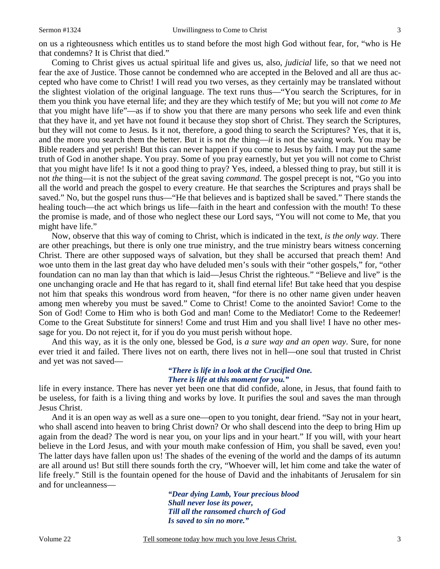on us a righteousness which entitles us to stand before the most high God without fear, for, "who is He that condemns? It is Christ that died."

 Coming to Christ gives us actual spiritual life and gives us, also, *judicial* life, so that we need not fear the axe of Justice. Those cannot be condemned who are accepted in the Beloved and all are thus accepted who have come to Christ! I will read you two verses, as they certainly may be translated without the slightest violation of the original language. The text runs thus—"You search the Scriptures, for in them you think you have eternal life; and they are they which testify of Me; but you will not *come to Me* that you might have life"—as if to show you that there are many persons who seek life and even think that they have it, and yet have not found it because they stop short of Christ. They search the Scriptures, but they will not come to Jesus. Is it not, therefore, a good thing to search the Scriptures? Yes, that it is, and the more you search them the better. But it is not *the* thing—*it* is not the saving work. You may be Bible readers and yet perish! But this can never happen if you come to Jesus by faith. I may put the same truth of God in another shape. You pray. Some of you pray earnestly, but yet you will not come to Christ that you might have life! Is it not a good thing to pray? Yes, indeed, a blessed thing to pray, but still it is not *the* thing—it is not the subject of the great saving *command*. The gospel precept is not, "Go you into all the world and preach the gospel to every creature. He that searches the Scriptures and prays shall be saved." No, but the gospel runs thus—"He that believes and is baptized shall be saved." There stands the healing touch—the act which brings us life—faith in the heart and confession with the mouth! To these the promise is made, and of those who neglect these our Lord says, "You will not come to Me, that you might have life."

 Now, observe that this way of coming to Christ, which is indicated in the text, *is the only way*. There are other preachings, but there is only one true ministry, and the true ministry bears witness concerning Christ. There are other supposed ways of salvation, but they shall be accursed that preach them! And woe unto them in the last great day who have deluded men's souls with their "other gospels," for, "other foundation can no man lay than that which is laid—Jesus Christ the righteous." "Believe and live" is the one unchanging oracle and He that has regard to it, shall find eternal life! But take heed that you despise not him that speaks this wondrous word from heaven, "for there is no other name given under heaven among men whereby you must be saved." Come to Christ! Come to the anointed Savior! Come to the Son of God! Come to Him who is both God and man! Come to the Mediator! Come to the Redeemer! Come to the Great Substitute for sinners! Come and trust Him and you shall live! I have no other message for you. Do not reject it, for if you do you must perish without hope.

 And this way, as it is the only one, blessed be God, is *a sure way and an open way*. Sure, for none ever tried it and failed. There lives not on earth, there lives not in hell—one soul that trusted in Christ and yet was not saved—

### *"There is life in a look at the Crucified One. There is life at this moment for you."*

life in every instance. There has never yet been one that did confide, alone, in Jesus, that found faith to be useless, for faith is a living thing and works by love. It purifies the soul and saves the man through Jesus Christ.

 And it is an open way as well as a sure one—open to you tonight, dear friend. "Say not in your heart, who shall ascend into heaven to bring Christ down? Or who shall descend into the deep to bring Him up again from the dead? The word is near you, on your lips and in your heart." If you will, with your heart believe in the Lord Jesus, and with your mouth make confession of Him, you shall be saved, even you! The latter days have fallen upon us! The shades of the evening of the world and the damps of its autumn are all around us! But still there sounds forth the cry, "Whoever will, let him come and take the water of life freely." Still is the fountain opened for the house of David and the inhabitants of Jerusalem for sin and for uncleanness—

> *"Dear dying Lamb, Your precious blood Shall never lose its power, Till all the ransomed church of God Is saved to sin no more."*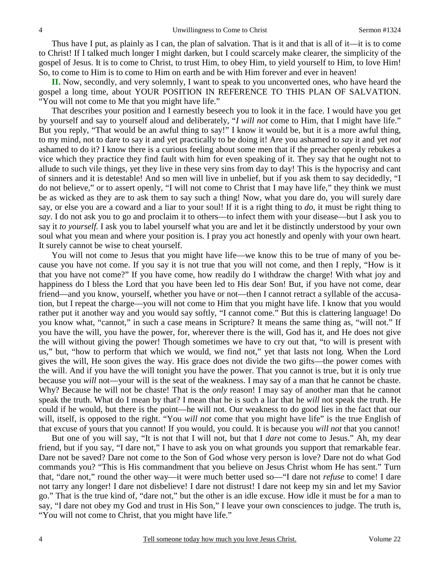Thus have I put, as plainly as I can, the plan of salvation. That is it and that is all of it—it is to come to Christ! If I talked much longer I might darken, but I could scarcely make clearer, the simplicity of the gospel of Jesus. It is to come to Christ, to trust Him, to obey Him, to yield yourself to Him, to love Him! So, to come to Him is to come to Him on earth and be with Him forever and ever in heaven!

**II.** Now, secondly, and very solemnly, I want to speak to you unconverted ones, who have heard the gospel a long time, about YOUR POSITION IN REFERENCE TO THIS PLAN OF SALVATION. "You will not come to Me that you might have life."

 That describes your position and I earnestly beseech you to look it in the face. I would have you get by yourself and say to yourself aloud and deliberately, "*I will not* come to Him, that I might have life." But you reply, "That would be an awful thing to say!" I know it would be, but it is a more awful thing, to my mind, not to dare to say it and yet practically to be doing it! Are you ashamed to *say* it and yet *not* ashamed to do it? I know there is a curious feeling about some men that if the preacher openly rebukes a vice which they practice they find fault with him for even speaking of it. They say that he ought not to allude to such vile things, yet they live in these very sins from day to day! This is the hypocrisy and cant of sinners and it is detestable! And so men will live in unbelief, but if you ask them to say decidedly, "I do not believe," or to assert openly, "I will not come to Christ that I may have life," they think we must be as wicked as they are to ask them to say such a thing! Now, what you dare do, you will surely dare say, or else you are a coward and a liar to your soul! If it is a right thing to *do*, it must be right thing to *say*. I do not ask you to go and proclaim it to others—to infect them with your disease—but I ask you to say it *to yourself.* I ask you to label yourself what you are and let it be distinctly understood by your own soul what you mean and where your position is. I pray you act honestly and openly with your own heart. It surely cannot be wise to cheat yourself.

You will not come to Jesus that you might have life—we know this to be true of many of you because you have not come. If you say it is not true that you will not come, and then I reply, "How is it that you have not come?" If you have come, how readily do I withdraw the charge! With what joy and happiness do I bless the Lord that you have been led to His dear Son! But, if you have not come, dear friend—and you know, yourself, whether you have or not—then I cannot retract a syllable of the accusation, but I repeat the charge—you will not come to Him that you might have life. I know that you would rather put it another way and you would say softly, "I cannot come." But this is clattering language! Do you know what, "cannot," in such a case means in Scripture? It means the same thing as, "will not." If you have the will, you have the power, for, wherever there is the will, God has it, and He does not give the will without giving the power! Though sometimes we have to cry out that, "to will is present with us," but, "how to perform that which we would, we find not," yet that lasts not long. When the Lord gives the will, He soon gives the way. His grace does not divide the two gifts—the power comes with the will. And if you have the will tonight you have the power. That you cannot is true, but it is only true because you *will* not—your will is the seat of the weakness. I may say of a man that he cannot be chaste. Why? Because he will not be chaste! That is the *only* reason! I may say of another man that he cannot speak the truth. What do I mean by that? I mean that he is such a liar that he *will* not speak the truth. He could if he would, but there is the point—he will not. Our weakness to do good lies in the fact that our will, itself, is opposed to the right. "You *will not* come that you might have life" is the true English of that excuse of yours that you cannot! If you would, you could. It is because you *will not* that you cannot!

 But one of you will say, "It is not that I will not, but that I *dare* not come to Jesus." Ah, my dear friend, but if you say, "I dare not," I have to ask you on what grounds you support that remarkable fear. Dare not be saved? Dare not come to the Son of God whose very person is love? Dare not do what God commands you? "This is His commandment that you believe on Jesus Christ whom He has sent." Turn that, "dare not," round the other way—it were much better used so—"I dare not *refuse* to come! I dare not tarry any longer! I dare not disbelieve! I dare not distrust! I dare not keep my sin and let my Savior go." That is the true kind of, "dare not," but the other is an idle excuse. How idle it must be for a man to say, "I dare not obey my God and trust in His Son," I leave your own consciences to judge. The truth is, "You will not come to Christ, that you might have life."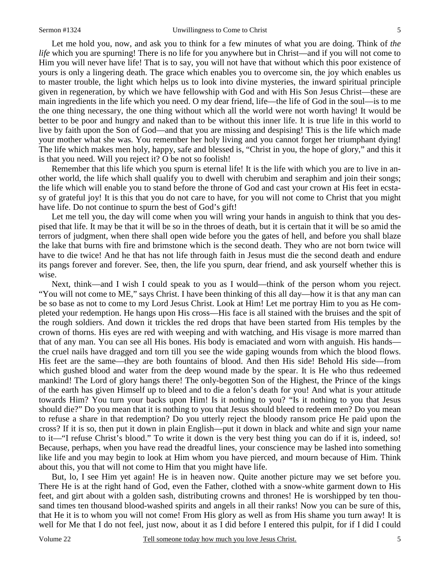Let me hold you, now, and ask you to think for a few minutes of what you are doing. Think of *the life* which you are spurning! There is no life for you anywhere but in Christ—and if you will not come to Him you will never have life! That is to say, you will not have that without which this poor existence of yours is only a lingering death. The grace which enables you to overcome sin, the joy which enables us to master trouble, the light which helps us to look into divine mysteries, the inward spiritual principle given in regeneration, by which we have fellowship with God and with His Son Jesus Christ—these are main ingredients in the life which you need. O my dear friend, life—the life of God in the soul—is to me the one thing necessary, the one thing without which all the world were not worth having! It would be better to be poor and hungry and naked than to be without this inner life. It is true life in this world to live by faith upon the Son of God—and that you are missing and despising! This is the life which made your mother what she was. You remember her holy living and you cannot forget her triumphant dying! The life which makes men holy, happy, safe and blessed is, "Christ in you, the hope of glory," and this it is that you need. Will you reject it? O be not so foolish!

Remember that this life which you spurn is eternal life! It is the life with which you are to live in another world, the life which shall qualify you to dwell with cherubim and seraphim and join their songs; the life which will enable you to stand before the throne of God and cast your crown at His feet in ecstasy of grateful joy! It is this that you do not care to have, for you will not come to Christ that you might have life. Do not continue to spurn the best of God's gift!

 Let me tell you, the day will come when you will wring your hands in anguish to think that you despised that life. It may be that it will be so in the throes of death, but it is certain that it will be so amid the terrors of judgment, when there shall open wide before you the gates of hell, and before you shall blaze the lake that burns with fire and brimstone which is the second death. They who are not born twice will have to die twice! And he that has not life through faith in Jesus must die the second death and endure its pangs forever and forever. See, then, the life you spurn, dear friend, and ask yourself whether this is wise.

 Next, think—and I wish I could speak to you as I would—think of the person whom you reject. "You will not come to ME," says Christ. I have been thinking of this all day—how it is that any man can be so base as not to come to my Lord Jesus Christ. Look at Him! Let me portray Him to you as He completed your redemption. He hangs upon His cross—His face is all stained with the bruises and the spit of the rough soldiers. And down it trickles the red drops that have been started from His temples by the crown of thorns. His eyes are red with weeping and with watching, and His visage is more marred than that of any man. You can see all His bones. His body is emaciated and worn with anguish. His hands the cruel nails have dragged and torn till you see the wide gaping wounds from which the blood flows. His feet are the same—they are both fountains of blood. And then His side! Behold His side—from which gushed blood and water from the deep wound made by the spear. It is He who thus redeemed mankind! The Lord of glory hangs there! The only-begotten Son of the Highest, the Prince of the kings of the earth has given Himself up to bleed and to die a felon's death for you! And what is your attitude towards Him? You turn your backs upon Him! Is it nothing to you? "Is it nothing to you that Jesus should die?" Do you mean that it is nothing to you that Jesus should bleed to redeem men? Do you mean to refuse a share in that redemption? Do you utterly reject the bloody ransom price He paid upon the cross? If it is so, then put it down in plain English—put it down in black and white and sign your name to it—"I refuse Christ's blood." To write it down is the very best thing you can do if it is, indeed, so! Because, perhaps, when you have read the dreadful lines, your conscience may be lashed into something like life and you may begin to look at Him whom you have pierced, and mourn because of Him. Think about this, you that will not come to Him that you might have life.

 But, lo, I see Him yet again! He is in heaven now. Quite another picture may we set before you. There He is at the right hand of God, even the Father, clothed with a snow-white garment down to His feet, and girt about with a golden sash, distributing crowns and thrones! He is worshipped by ten thousand times ten thousand blood-washed spirits and angels in all their ranks! Now you can be sure of this, that He it is to whom you will not come! From His glory as well as from His shame you turn away! It is well for Me that I do not feel, just now, about it as I did before I entered this pulpit, for if I did I could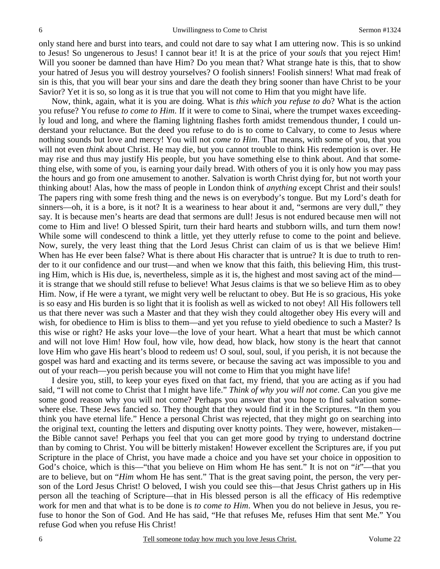only stand here and burst into tears, and could not dare to say what I am uttering now. This is so unkind to Jesus! So ungenerous to Jesus! I cannot bear it! It is at the price of your *souls* that you reject Him! Will you sooner be damned than have Him? Do you mean that? What strange hate is this, that to show your hatred of Jesus you will destroy yourselves? O foolish sinners! Foolish sinners! What mad freak of sin is this, that you will bear your sins and dare the death they bring sooner than have Christ to be your Savior? Yet it is so, so long as it is true that you will not come to Him that you might have life.

 Now, think, again, what it is you are doing. What is *this which you refuse to d*o? What is the action you refuse? You refuse *to come to Him*. If it were to come to Sinai, where the trumpet waxes exceedingly loud and long, and where the flaming lightning flashes forth amidst tremendous thunder, I could understand your reluctance. But the deed you refuse to do is to come to Calvary, to come to Jesus where nothing sounds but love and mercy! You will not *come to Him*. That means, with some of you, that you will not even *think* about Christ. He may die, but you cannot trouble to think His redemption is over. He may rise and thus may justify His people, but you have something else to think about. And that something else, with some of you, is earning your daily bread. With others of you it is only how you may pass the hours and go from one amusement to another. Salvation is worth Christ dying for, but not worth your thinking about! Alas, how the mass of people in London think of *anything* except Christ and their souls! The papers ring with some fresh thing and the news is on everybody's tongue. But my Lord's death for sinners—oh, it is a bore, is it not? It is a weariness to hear about it and, "sermons are very dull," they say. It is because men's hearts are dead that sermons are dull! Jesus is not endured because men will not come to Him and live! O blessed Spirit, turn their hard hearts and stubborn wills, and turn them now! While some will condescend to think a little, yet they utterly refuse to come to the point and believe. Now, surely, the very least thing that the Lord Jesus Christ can claim of us is that we believe Him! When has He ever been false? What is there about His character that is untrue? It is due to truth to render to it our confidence and our trust—and when we know that this faith, this believing Him, this trusting Him, which is His due, is, nevertheless, simple as it is, the highest and most saving act of the mind it is strange that we should still refuse to believe! What Jesus claims is that we so believe Him as to obey Him. Now, if He were a tyrant, we might very well be reluctant to obey. But He is so gracious, His yoke is so easy and His burden is so light that it is foolish as well as wicked to not obey! All His followers tell us that there never was such a Master and that they wish they could altogether obey His every will and wish, for obedience to Him is bliss to them—and yet you refuse to yield obedience to such a Master? Is this wise or right? He asks your love—the love of your heart. What a heart that must be which cannot and will not love Him! How foul, how vile, how dead, how black, how stony is the heart that cannot love Him who gave His heart's blood to redeem us! O soul, soul, soul, if you perish, it is not because the gospel was hard and exacting and its terms severe, or because the saving act was impossible to you and out of your reach—you perish because you will not come to Him that you might have life!

 I desire you, still, to keep your eyes fixed on that fact, my friend, that you are acting as if you had said, "I will not come to Christ that I might have life." *Think of why you will not come*. Can you give me some good reason why you will not come? Perhaps you answer that you hope to find salvation somewhere else. These Jews fancied so. They thought that they would find it in the Scriptures. "In them you think you have eternal life." Hence a personal Christ was rejected, that they might go on searching into the original text, counting the letters and disputing over knotty points. They were, however, mistaken the Bible cannot save! Perhaps you feel that you can get more good by trying to understand doctrine than by coming to Christ. You will be bitterly mistaken! However excellent the Scriptures are, if you put Scripture in the place of Christ, you have made a choice and you have set your choice in opposition to God's choice, which is this—"that you believe on Him whom He has sent." It is not on "*it*"—that you are to believe, but on "*Him* whom He has sent." That is the great saving point, the person, the very person of the Lord Jesus Christ! O beloved, I wish you could see this—that Jesus Christ gathers up in His person all the teaching of Scripture—that in His blessed person is all the efficacy of His redemptive work for men and that what is to be done is *to come to Him*. When you do not believe in Jesus, you refuse to honor the Son of God. And He has said, "He that refuses Me, refuses Him that sent Me." You refuse God when you refuse His Christ!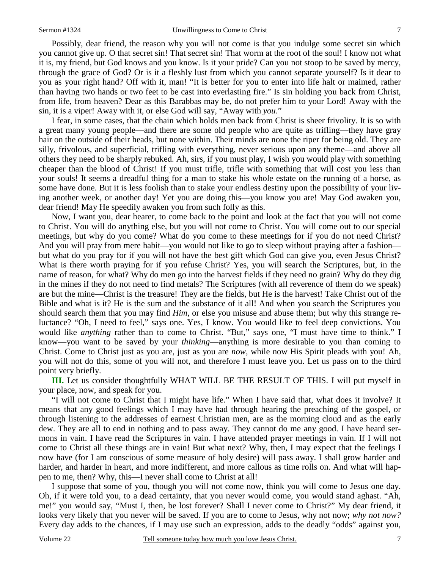Possibly, dear friend, the reason why you will not come is that you indulge some secret sin which you cannot give up. O that secret sin! That secret sin! That worm at the root of the soul! I know not what it is, my friend, but God knows and you know. Is it your pride? Can you not stoop to be saved by mercy, through the grace of God? Or is it a fleshly lust from which you cannot separate yourself? Is it dear to you as your right hand? Off with it, man! "It is better for you to enter into life halt or maimed, rather than having two hands or two feet to be cast into everlasting fire." Is sin holding you back from Christ, from life, from heaven? Dear as this Barabbas may be, do not prefer him to your Lord! Away with the sin, it is a viper! Away with it, or else God will say, "Away with *you*."

 I fear, in some cases, that the chain which holds men back from Christ is sheer frivolity. It is so with a great many young people—and there are some old people who are quite as trifling—they have gray hair on the outside of their heads, but none within. Their minds are none the riper for being old. They are silly, frivolous, and superficial, trifling with everything, never serious upon any theme—and above all others they need to be sharply rebuked. Ah, sirs, if you must play, I wish you would play with something cheaper than the blood of Christ! If you must trifle, trifle with something that will cost you less than your souls! It seems a dreadful thing for a man to stake his whole estate on the running of a horse, as some have done. But it is less foolish than to stake your endless destiny upon the possibility of your living another week, or another day! Yet you are doing this—you know you are! May God awaken you, dear friend! May He speedily awaken you from such folly as this.

 Now, I want you, dear hearer, to come back to the point and look at the fact that you will not come to Christ. You will do anything else, but you will not come to Christ. You will come out to our special meetings, but why do you come? What do you come to these meetings for if you do not need Christ? And you will pray from mere habit—you would not like to go to sleep without praying after a fashion but what do you pray for if you will not have the best gift which God can give you, even Jesus Christ? What is there worth praying for if you refuse Christ? Yes, you will search the Scriptures, but, in the name of reason, for what? Why do men go into the harvest fields if they need no grain? Why do they dig in the mines if they do not need to find metals? The Scriptures (with all reverence of them do we speak) are but the mine—Christ is the treasure! They are the fields, but He is the harvest! Take Christ out of the Bible and what is it? He is the sum and the substance of it all! And when you search the Scriptures you should search them that you may find *Him*, or else you misuse and abuse them; but why this strange reluctance? "Oh, I need to feel," says one. Yes, I know. You would like to feel deep convictions. You would like *anything* rather than to come to Christ. "But," says one, "I must have time to think." I know—you want to be saved by your *thinking*—anything is more desirable to you than coming to Christ. Come to Christ just as you are, just as you are *now*, while now His Spirit pleads with you! Ah, you will not do this, some of you will not, and therefore I must leave you. Let us pass on to the third point very briefly.

**III.** Let us consider thoughtfully WHAT WILL BE THE RESULT OF THIS. I will put myself in your place, now, and speak for you.

 "I will not come to Christ that I might have life." When I have said that, what does it involve? It means that any good feelings which I may have had through hearing the preaching of the gospel, or through listening to the addresses of earnest Christian men, are as the morning cloud and as the early dew. They are all to end in nothing and to pass away. They cannot do me any good. I have heard sermons in vain. I have read the Scriptures in vain. I have attended prayer meetings in vain. If I will not come to Christ all these things are in vain! But what next? Why, then, I may expect that the feelings I now have (for I am conscious of some measure of holy desire) will pass away. I shall grow harder and harder, and harder in heart, and more indifferent, and more callous as time rolls on. And what will happen to me, then? Why, this—I never shall come to Christ at all!

 I suppose that some of you, though you will not come now, think you will come to Jesus one day. Oh, if it were told you, to a dead certainty, that you never would come, you would stand aghast. "Ah, me!" you would say, "Must I, then, be lost forever? Shall I never come to Christ?" My dear friend, it looks very likely that you never will be saved. If you are to come to Jesus, why not now; *why not now?* Every day adds to the chances, if I may use such an expression, adds to the deadly "odds" against you,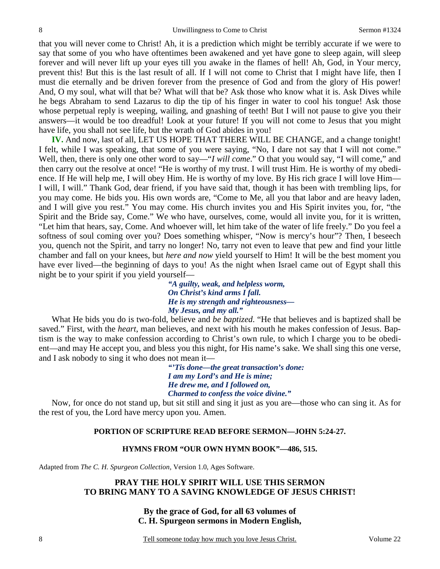that you will never come to Christ! Ah, it is a prediction which might be terribly accurate if we were to say that some of you who have oftentimes been awakened and yet have gone to sleep again, will sleep forever and will never lift up your eyes till you awake in the flames of hell! Ah, God, in Your mercy, prevent this! But this is the last result of all. If I will not come to Christ that I might have life, then I must die eternally and be driven forever from the presence of God and from the glory of His power! And, O my soul, what will that be? What will that be? Ask those who know what it is. Ask Dives while he begs Abraham to send Lazarus to dip the tip of his finger in water to cool his tongue! Ask those whose perpetual reply is weeping, wailing, and gnashing of teeth! But I will not pause to give you their answers—it would be too dreadful! Look at your future! If you will not come to Jesus that you might have life, you shall not see life, but the wrath of God abides in you!

**IV.** And now, last of all, LET US HOPE THAT THERE WILL BE CHANGE, and a change tonight! I felt, while I was speaking, that some of you were saying, "No, I dare not say that I will not come." Well, then, there is only one other word to say—"*I will come*." O that you would say, "I will come," and then carry out the resolve at once! "He is worthy of my trust. I will trust Him. He is worthy of my obedience. If He will help me, I will obey Him. He is worthy of my love. By His rich grace I will love Him— I will, I will." Thank God, dear friend, if you have said that, though it has been with trembling lips, for you may come. He bids you. His own words are, "Come to Me, all you that labor and are heavy laden, and I will give you rest." You may come. His church invites you and His Spirit invites you, for, "the Spirit and the Bride say, Come." We who have, ourselves, come, would all invite you, for it is written, "Let him that hears, say, Come. And whoever will, let him take of the water of life freely." Do you feel a softness of soul coming over you? Does something whisper, "Now is mercy's hour"? Then, I beseech you, quench not the Spirit, and tarry no longer! No, tarry not even to leave that pew and find your little chamber and fall on your knees, but *here and now* yield yourself to Him! It will be the best moment you have ever lived—the beginning of days to you! As the night when Israel came out of Egypt shall this night be to your spirit if you yield yourself—

> *"A guilty, weak, and helpless worm, On Christ's kind arms I fall. He is my strength and righteousness— My Jesus, and my all."*

What He bids you do is two-fold, believe and *be baptized*. "He that believes and is baptized shall be saved." First, with the *heart*, man believes, and next with his mouth he makes confession of Jesus. Baptism is the way to make confession according to Christ's own rule, to which I charge you to be obedient—and may He accept you, and bless you this night, for His name's sake. We shall sing this one verse, and I ask nobody to sing it who does not mean it—

> *"'Tis done—the great transaction's done: I am my Lord's and He is mine; He drew me, and I followed on, Charmed to confess the voice divine."*

 Now, for once do not stand up, but sit still and sing it just as you are—those who can sing it. As for the rest of you, the Lord have mercy upon you. Amen.

## **PORTION OF SCRIPTURE READ BEFORE SERMON—JOHN 5:24-27.**

### **HYMNS FROM "OUR OWN HYMN BOOK"—486, 515.**

Adapted from *The C. H. Spurgeon Collection*, Version 1.0, Ages Software.

## **PRAY THE HOLY SPIRIT WILL USE THIS SERMON TO BRING MANY TO A SAVING KNOWLEDGE OF JESUS CHRIST!**

# **By the grace of God, for all 63 volumes of C. H. Spurgeon sermons in Modern English,**

Tell someone today how much you love Jesus Christ. Volume 22